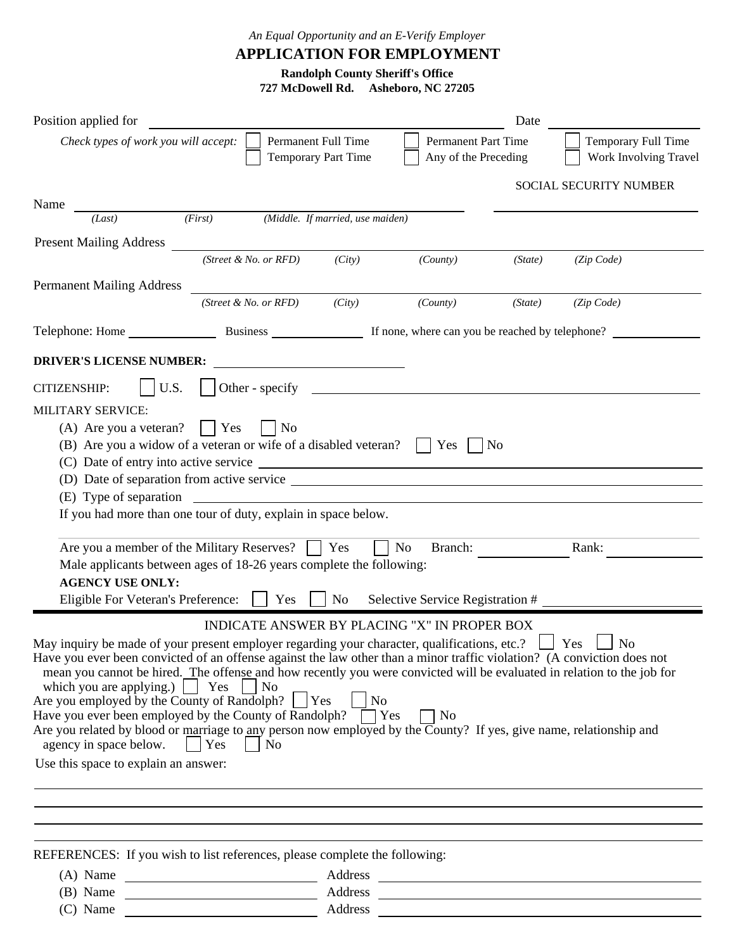*An Equal Opportunity and an E-Verify Employer*

**APPLICATION FOR EMPLOYMENT**

**Randolph County Sheriff's Office**

**727 McDowell Rd. Asheboro, NC 27205**

| Position applied for                                                                                                    |         |                       |                                                                                                                       |                                                     | Date    |                                              |
|-------------------------------------------------------------------------------------------------------------------------|---------|-----------------------|-----------------------------------------------------------------------------------------------------------------------|-----------------------------------------------------|---------|----------------------------------------------|
| Check types of work you will accept:                                                                                    |         |                       | Permanent Full Time<br>Temporary Part Time                                                                            | <b>Permanent Part Time</b><br>Any of the Preceding  |         | Temporary Full Time<br>Work Involving Travel |
|                                                                                                                         |         |                       |                                                                                                                       |                                                     |         | SOCIAL SECURITY NUMBER                       |
| Name                                                                                                                    | (First) |                       | (Middle. If married, use maiden)                                                                                      |                                                     |         |                                              |
| (Last)                                                                                                                  |         |                       |                                                                                                                       |                                                     |         |                                              |
| <b>Present Mailing Address</b>                                                                                          |         |                       |                                                                                                                       |                                                     |         |                                              |
|                                                                                                                         |         | (Street & No. or RFD) | (City)                                                                                                                | (County)                                            | (State) | (Zip Code)                                   |
| <b>Permanent Mailing Address</b>                                                                                        |         |                       |                                                                                                                       |                                                     |         |                                              |
|                                                                                                                         |         | (Street & No. or RFD) | (City)                                                                                                                | (County)                                            | (State) | (Zip Code)                                   |
|                                                                                                                         |         |                       |                                                                                                                       |                                                     |         |                                              |
|                                                                                                                         |         |                       |                                                                                                                       |                                                     |         |                                              |
| <b>DRIVER'S LICENSE NUMBER:</b>                                                                                         |         |                       | <u> 1989 - Johann Barbara, martin amerikan basar dan berasal dalam basar dalam basar dalam basar dalam basar dala</u> |                                                     |         |                                              |
| U.S.<br><b>CITIZENSHIP:</b>                                                                                             |         |                       |                                                                                                                       |                                                     |         |                                              |
| <b>MILITARY SERVICE:</b>                                                                                                |         |                       |                                                                                                                       |                                                     |         |                                              |
| (A) Are you a veteran?                                                                                                  | $ $ Yes | No                    |                                                                                                                       |                                                     |         |                                              |
| (B) Are you a widow of a veteran or wife of a disabled veteran? $\parallel$ Yes $\parallel$ No                          |         |                       |                                                                                                                       |                                                     |         |                                              |
|                                                                                                                         |         |                       |                                                                                                                       |                                                     |         |                                              |
|                                                                                                                         |         |                       |                                                                                                                       |                                                     |         |                                              |
|                                                                                                                         |         |                       |                                                                                                                       |                                                     |         |                                              |
| If you had more than one tour of duty, explain in space below.                                                          |         |                       |                                                                                                                       |                                                     |         |                                              |
| Are you a member of the Military Reserves?     Yes                                                                      |         |                       |                                                                                                                       | No<br>Branch:                                       |         | Rank:                                        |
| Male applicants between ages of 18-26 years complete the following:                                                     |         |                       |                                                                                                                       |                                                     |         |                                              |
| <b>AGENCY USE ONLY:</b>                                                                                                 |         |                       |                                                                                                                       |                                                     |         |                                              |
| Eligible For Veteran's Preference:     Yes                                                                              |         |                       | No                                                                                                                    | Selective Service Registration #                    |         |                                              |
|                                                                                                                         |         |                       |                                                                                                                       | <b>INDICATE ANSWER BY PLACING "X" IN PROPER BOX</b> |         |                                              |
| May inquiry be made of your present employer regarding your character, qualifications, etc.?                            |         |                       |                                                                                                                       |                                                     |         | Yes<br>No                                    |
| Have you ever been convicted of an offense against the law other than a minor traffic violation? (A conviction does not |         |                       |                                                                                                                       |                                                     |         |                                              |
| mean you cannot be hired. The offense and how recently you were convicted will be evaluated in relation to the job for  |         |                       |                                                                                                                       |                                                     |         |                                              |
| which you are applying.) $\vert$ Yes                                                                                    |         | $\overline{N_{0}}$    | $\vert$ No                                                                                                            |                                                     |         |                                              |
| Are you employed by the County of Randolph? $\Box$ Yes<br>Have you ever been employed by the County of Randolph? T Yes  |         |                       |                                                                                                                       | N <sub>0</sub>                                      |         |                                              |
| Are you related by blood or marriage to any person now employed by the County? If yes, give name, relationship and      |         |                       |                                                                                                                       |                                                     |         |                                              |
| agency in space below. $ $   Yes     No                                                                                 |         |                       |                                                                                                                       |                                                     |         |                                              |
| Use this space to explain an answer:                                                                                    |         |                       |                                                                                                                       |                                                     |         |                                              |
|                                                                                                                         |         |                       |                                                                                                                       |                                                     |         |                                              |
|                                                                                                                         |         |                       |                                                                                                                       |                                                     |         |                                              |
|                                                                                                                         |         |                       |                                                                                                                       |                                                     |         |                                              |
|                                                                                                                         |         |                       |                                                                                                                       |                                                     |         |                                              |
| REFERENCES: If you wish to list references, please complete the following:                                              |         |                       |                                                                                                                       |                                                     |         |                                              |
|                                                                                                                         |         |                       |                                                                                                                       |                                                     |         |                                              |
|                                                                                                                         |         |                       |                                                                                                                       |                                                     |         |                                              |
|                                                                                                                         |         |                       |                                                                                                                       |                                                     |         |                                              |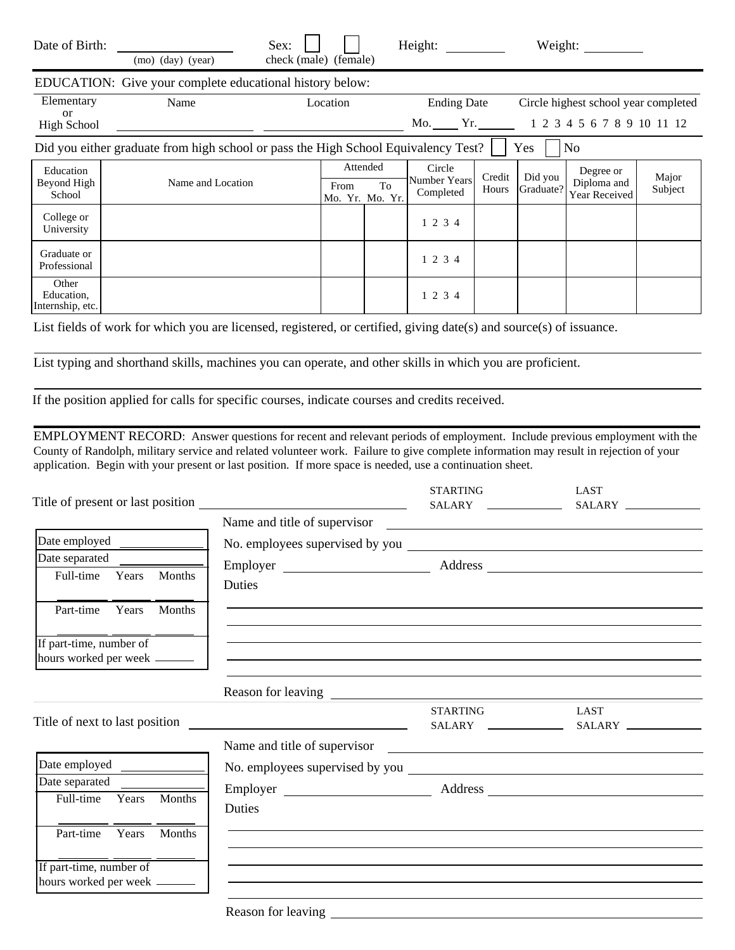| Date of Birth:                                                                                                      | (mo) (day) (year)                                                                                                    | Sex:<br>check (male) (female) |                                     |    | Height:                             |                 |                            | Weight:                                   |                  |
|---------------------------------------------------------------------------------------------------------------------|----------------------------------------------------------------------------------------------------------------------|-------------------------------|-------------------------------------|----|-------------------------------------|-----------------|----------------------------|-------------------------------------------|------------------|
|                                                                                                                     | EDUCATION: Give your complete educational history below:                                                             |                               |                                     |    |                                     |                 |                            |                                           |                  |
| Elementary                                                                                                          | Name                                                                                                                 |                               | Location                            |    | <b>Ending Date</b>                  |                 |                            | Circle highest school year completed      |                  |
| $\alpha$<br><b>High School</b>                                                                                      | <u> 1980 - Jan Stein Harry Harry Harry Harry Harry Harry Harry Harry Harry Harry Harry Harry Harry Harry Harry H</u> |                               |                                     |    |                                     |                 | 1 2 3 4 5 6 7 8 9 10 11 12 |                                           |                  |
| Did you either graduate from high school or pass the High School Equivalency Test?<br>Yes<br>No                     |                                                                                                                      |                               |                                     |    |                                     |                 |                            |                                           |                  |
| Education<br>Beyond High<br>School                                                                                  | Name and Location                                                                                                    |                               | Attended<br>From<br>Mo. Yr. Mo. Yr. | To | Circle<br>Number Years<br>Completed | Credit<br>Hours | Did you<br>Graduate?       | Degree or<br>Diploma and<br>Year Received | Major<br>Subject |
| College or<br>University                                                                                            |                                                                                                                      |                               |                                     |    | 1 2 3 4                             |                 |                            |                                           |                  |
| Graduate or<br>Professional                                                                                         |                                                                                                                      |                               |                                     |    | 1 2 3 4                             |                 |                            |                                           |                  |
| Other<br>Education,<br>Internship, etc.                                                                             |                                                                                                                      |                               |                                     |    | 1 2 3 4                             |                 |                            |                                           |                  |
| List fields of work for which you are licensed, registered, or certified, giving date(s) and source(s) of issuance. |                                                                                                                      |                               |                                     |    |                                     |                 |                            |                                           |                  |
| List typing and shorthand skills, machines you can operate, and other skills in which you are proficient.           |                                                                                                                      |                               |                                     |    |                                     |                 |                            |                                           |                  |

If the position applied for calls for specific courses, indicate courses and credits received.

EMPLOYMENT RECORD: Answer questions for recent and relevant periods of employment. Include previous employment with the County of Randolph, military service and related volunteer work. Failure to give complete information may result in rejection of your application. Begin with your present or last position. If more space is needed, use a continuation sheet.

| Title of present or last position                        | <u> 1980 - Jan Samuel Barbara, político establecera en la propia de la propia de la propia de la propia de la pro</u> | <b>STARTING</b><br>SALARY ______________     | LAST                                                                                                                  |
|----------------------------------------------------------|-----------------------------------------------------------------------------------------------------------------------|----------------------------------------------|-----------------------------------------------------------------------------------------------------------------------|
|                                                          | Name and title of supervisor                                                                                          |                                              | <u> 1989 - Johann Stein, markin film ar yn y breninn y breninn y breninn y breninn y breninn y breninn y breninn </u> |
| Date employed                                            |                                                                                                                       |                                              |                                                                                                                       |
| Date separated                                           |                                                                                                                       |                                              |                                                                                                                       |
| Years Months<br>Full-time                                | <b>Duties</b>                                                                                                         |                                              |                                                                                                                       |
| Part-time<br>Years<br><b>Months</b>                      |                                                                                                                       |                                              |                                                                                                                       |
| If part-time, number of<br>hours worked per week _______ |                                                                                                                       | <u> 1989 - Jan Salaman Salaman (j. 1989)</u> |                                                                                                                       |
|                                                          |                                                                                                                       |                                              |                                                                                                                       |
| Title of next to last position                           |                                                                                                                       | <b>STARTING</b>                              | <b>LAST</b>                                                                                                           |
|                                                          |                                                                                                                       |                                              |                                                                                                                       |
| Date employed                                            |                                                                                                                       |                                              |                                                                                                                       |
| Date separated                                           |                                                                                                                       |                                              |                                                                                                                       |
| Months<br>Full-time<br>Years                             | Duties                                                                                                                |                                              |                                                                                                                       |
| Part-time Years<br><b>Months</b>                         |                                                                                                                       |                                              |                                                                                                                       |
| If part-time, number of<br>hours worked per week ______  |                                                                                                                       |                                              |                                                                                                                       |
|                                                          |                                                                                                                       |                                              |                                                                                                                       |

Reason for leaving